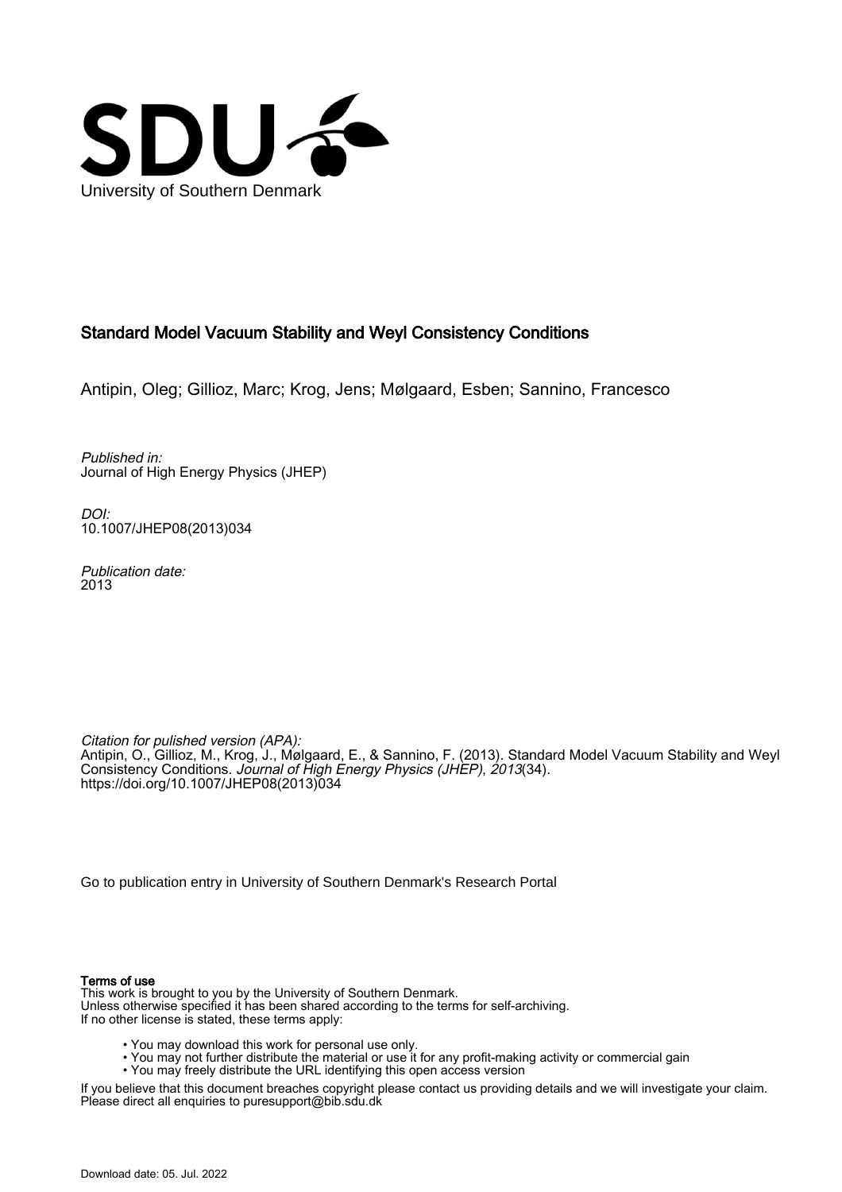

## Standard Model Vacuum Stability and Weyl Consistency Conditions

Antipin, Oleg; Gillioz, Marc; Krog, Jens; Mølgaard, Esben; Sannino, Francesco

Published in: Journal of High Energy Physics (JHEP)

DOI: [10.1007/JHEP08\(2013\)034](https://doi.org/10.1007/JHEP08(2013)034)

Publication date: 2013

Citation for pulished version (APA): Antipin, O., Gillioz, M., Krog, J., Mølgaard, E., & Sannino, F. (2013). Standard Model Vacuum Stability and Weyl Consistency Conditions. Journal of High Energy Physics (JHEP), 2013(34). [https://doi.org/10.1007/JHEP08\(2013\)034](https://doi.org/10.1007/JHEP08(2013)034)

[Go to publication entry in University of Southern Denmark's Research Portal](https://portal.findresearcher.sdu.dk/en/publications/d478e4c1-ea79-4f2d-b673-6ecd8a8112c1)

#### Terms of use

This work is brought to you by the University of Southern Denmark. Unless otherwise specified it has been shared according to the terms for self-archiving. If no other license is stated, these terms apply:

- You may download this work for personal use only.
- You may not further distribute the material or use it for any profit-making activity or commercial gain
- You may freely distribute the URL identifying this open access version

If you believe that this document breaches copyright please contact us providing details and we will investigate your claim. Please direct all enquiries to puresupport@bib.sdu.dk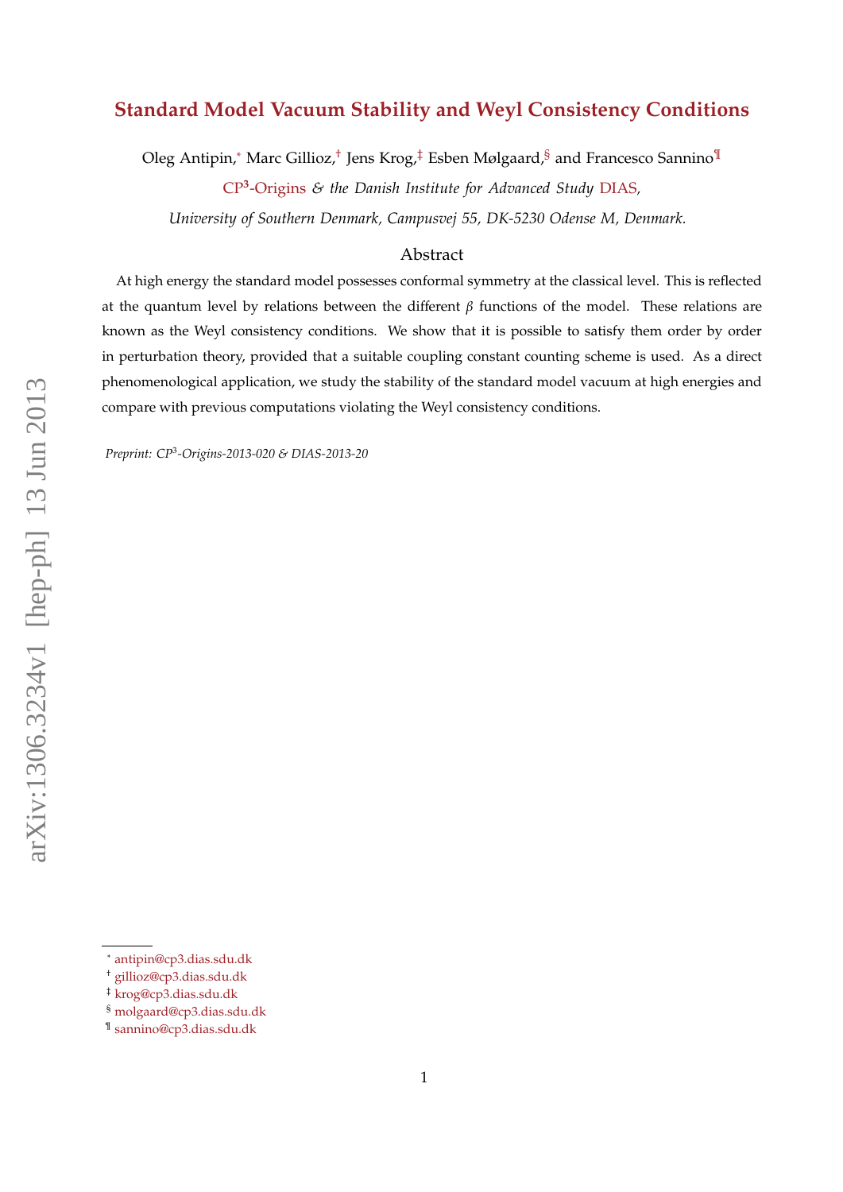# **Standard Model Vacuum Stability and Weyl Consistency Conditions**

Oleg Antipin,<sup>\*</sup> Marc Gillioz,<sup>[†](#page-1-1)</sup> Jens Krog,<sup>[‡](#page-1-2)</sup> Esben Mølgaard,<sup>[§](#page-1-3)</sup> and Francesco Sannino<sup>[¶](#page-1-4)</sup>

CP**<sup>3</sup>** -Origins *& the Danish Institute for Advanced Study* DIAS*,*

*University of Southern Denmark, Campusvej 55, DK-5230 Odense M, Denmark.*

## Abstract

At high energy the standard model possesses conformal symmetry at the classical level. This is reflected at the quantum level by relations between the different  $β$  functions of the model. These relations are known as the Weyl consistency conditions. We show that it is possible to satisfy them order by order in perturbation theory, provided that a suitable coupling constant counting scheme is used. As a direct phenomenological application, we study the stability of the standard model vacuum at high energies and compare with previous computations violating the Weyl consistency conditions.

*Preprint: CP*<sup>3</sup> *-Origins-2013-020 & DIAS-2013-20*

<span id="page-1-1"></span><span id="page-1-0"></span><sup>∗</sup> [antipin@cp3.dias.sdu.dk](mailto:antipin@cp3.dias.sdu.dk)

<span id="page-1-2"></span><sup>†</sup> [gillioz@cp3.dias.sdu.dk](mailto:gillioz@cp3.dias.sdu.dk)

<span id="page-1-3"></span><sup>‡</sup> [krog@cp3.dias.sdu.dk](mailto:krog@cp3.dias.sdu.dk)

<span id="page-1-4"></span><sup>§</sup> [molgaard@cp3.dias.sdu.dk](mailto:molgaard@cp3.dias.sdu.dk)

<sup>¶</sup> [sannino@cp3.dias.sdu.dk](mailto:sannino@cp3.dias.sdu.dk)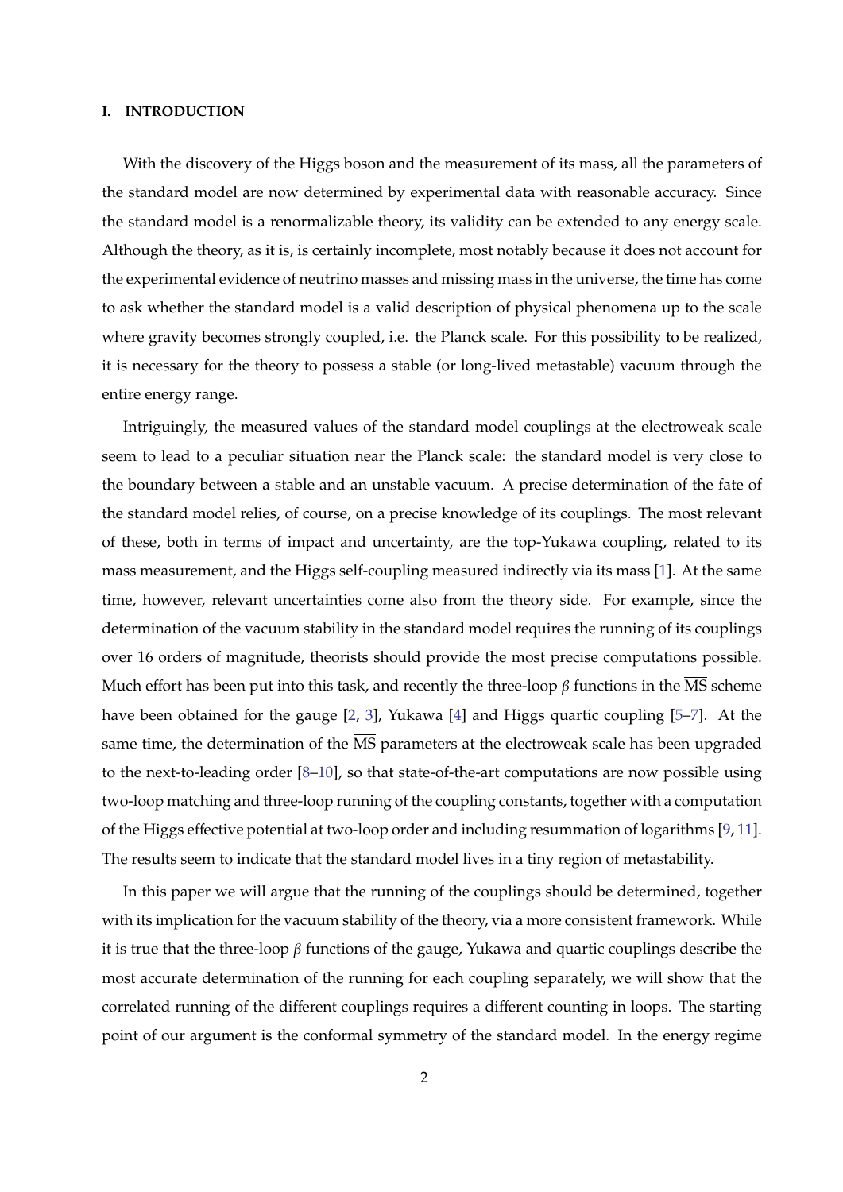#### **I. INTRODUCTION**

With the discovery of the Higgs boson and the measurement of its mass, all the parameters of the standard model are now determined by experimental data with reasonable accuracy. Since the standard model is a renormalizable theory, its validity can be extended to any energy scale. Although the theory, as it is, is certainly incomplete, most notably because it does not account for the experimental evidence of neutrino masses and missing mass in the universe, the time has come to ask whether the standard model is a valid description of physical phenomena up to the scale where gravity becomes strongly coupled, i.e. the Planck scale. For this possibility to be realized, it is necessary for the theory to possess a stable (or long-lived metastable) vacuum through the entire energy range.

Intriguingly, the measured values of the standard model couplings at the electroweak scale seem to lead to a peculiar situation near the Planck scale: the standard model is very close to the boundary between a stable and an unstable vacuum. A precise determination of the fate of the standard model relies, of course, on a precise knowledge of its couplings. The most relevant of these, both in terms of impact and uncertainty, are the top-Yukawa coupling, related to its mass measurement, and the Higgs self-coupling measured indirectly via its mass [\[1\]](#page-12-0). At the same time, however, relevant uncertainties come also from the theory side. For example, since the determination of the vacuum stability in the standard model requires the running of its couplings over 16 orders of magnitude, theorists should provide the most precise computations possible. Much effort has been put into this task, and recently the three-loop  $\beta$  functions in the  $\overline{\text{MS}}$  scheme have been obtained for the gauge [\[2,](#page-13-0) [3\]](#page-13-1), Yukawa [\[4\]](#page-13-2) and Higgs quartic coupling [\[5–](#page-13-3)[7\]](#page-13-4). At the same time, the determination of the  $\overline{\text{MS}}$  parameters at the electroweak scale has been upgraded to the next-to-leading order [\[8–](#page-13-5)[10\]](#page-13-6), so that state-of-the-art computations are now possible using two-loop matching and three-loop running of the coupling constants, together with a computation of the Higgs effective potential at two-loop order and including resummation of logarithms [\[9,](#page-13-7) [11\]](#page-13-8). The results seem to indicate that the standard model lives in a tiny region of metastability.

In this paper we will argue that the running of the couplings should be determined, together with its implication for the vacuum stability of the theory, via a more consistent framework. While it is true that the three-loop  $\beta$  functions of the gauge, Yukawa and quartic couplings describe the most accurate determination of the running for each coupling separately, we will show that the correlated running of the different couplings requires a different counting in loops. The starting point of our argument is the conformal symmetry of the standard model. In the energy regime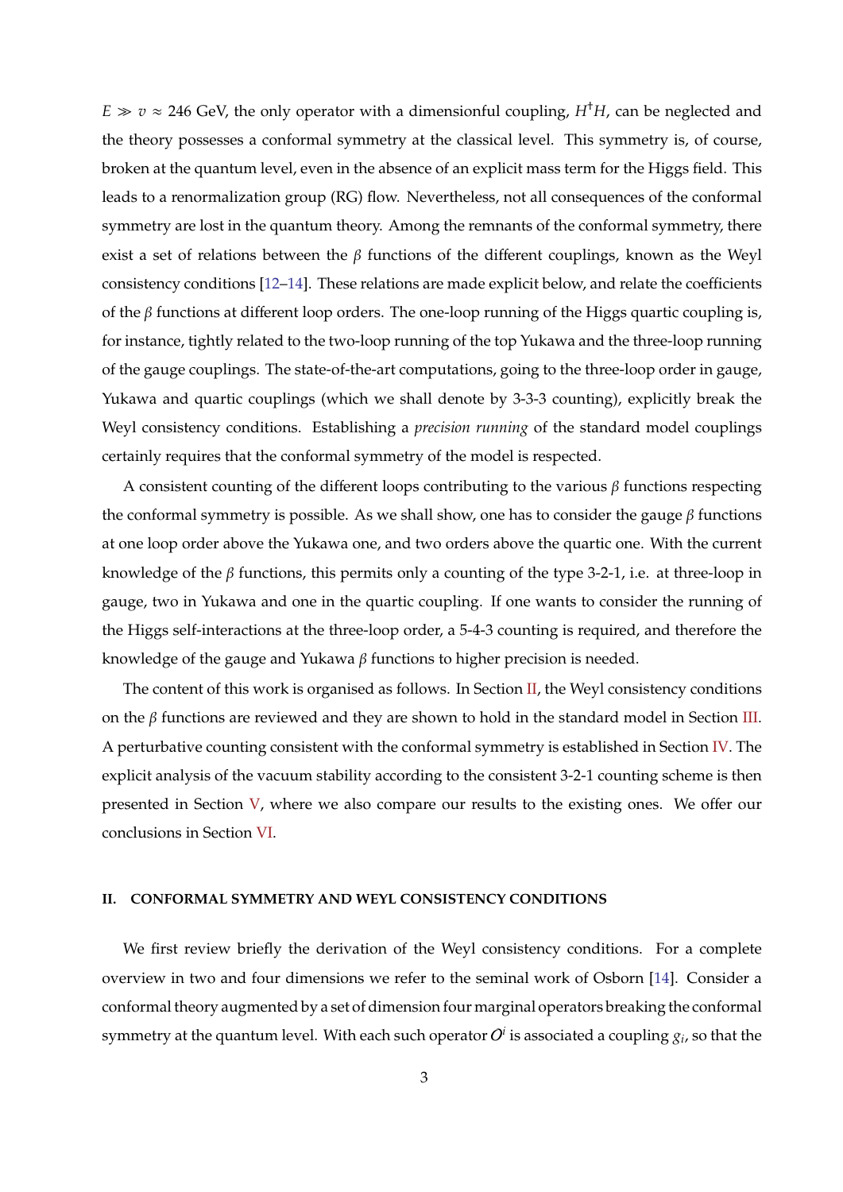$E \gg v \approx 246$  GeV, the only operator with a dimensionful coupling,  $H^{\dagger}H$ , can be neglected and the theory possesses a conformal symmetry at the classical level. This symmetry is, of course, broken at the quantum level, even in the absence of an explicit mass term for the Higgs field. This leads to a renormalization group (RG) flow. Nevertheless, not all consequences of the conformal symmetry are lost in the quantum theory. Among the remnants of the conformal symmetry, there exist a set of relations between the  $\beta$  functions of the different couplings, known as the Weyl consistency conditions [\[12–](#page-13-9)[14\]](#page-13-10). These relations are made explicit below, and relate the coefficients of the  $\beta$  functions at different loop orders. The one-loop running of the Higgs quartic coupling is, for instance, tightly related to the two-loop running of the top Yukawa and the three-loop running of the gauge couplings. The state-of-the-art computations, going to the three-loop order in gauge, Yukawa and quartic couplings (which we shall denote by 3-3-3 counting), explicitly break the Weyl consistency conditions. Establishing a *precision running* of the standard model couplings certainly requires that the conformal symmetry of the model is respected.

A consistent counting of the different loops contributing to the various  $\beta$  functions respecting the conformal symmetry is possible. As we shall show, one has to consider the gauge  $β$  functions at one loop order above the Yukawa one, and two orders above the quartic one. With the current knowledge of the  $\beta$  functions, this permits only a counting of the type 3-2-1, i.e. at three-loop in gauge, two in Yukawa and one in the quartic coupling. If one wants to consider the running of the Higgs self-interactions at the three-loop order, a 5-4-3 counting is required, and therefore the knowledge of the gauge and Yukawa  $\beta$  functions to higher precision is needed.

The content of this work is organised as follows. In Section [II,](#page-3-0) the Weyl consistency conditions on the  $\beta$  functions are reviewed and they are shown to hold in the standard model in Section [III.](#page-5-0) A perturbative counting consistent with the conformal symmetry is established in Section [IV.](#page-8-0) The explicit analysis of the vacuum stability according to the consistent 3-2-1 counting scheme is then presented in Section [V,](#page-9-0) where we also compare our results to the existing ones. We offer our conclusions in Section [VI.](#page-11-0)

## <span id="page-3-0"></span>**II. CONFORMAL SYMMETRY AND WEYL CONSISTENCY CONDITIONS**

We first review briefly the derivation of the Weyl consistency conditions. For a complete overview in two and four dimensions we refer to the seminal work of Osborn [\[14\]](#page-13-10). Consider a conformal theory augmented by a set of dimension four marginal operators breaking the conformal symmetry at the quantum level. With each such operator  $O^i$  is associated a coupling  $g_i$ , so that the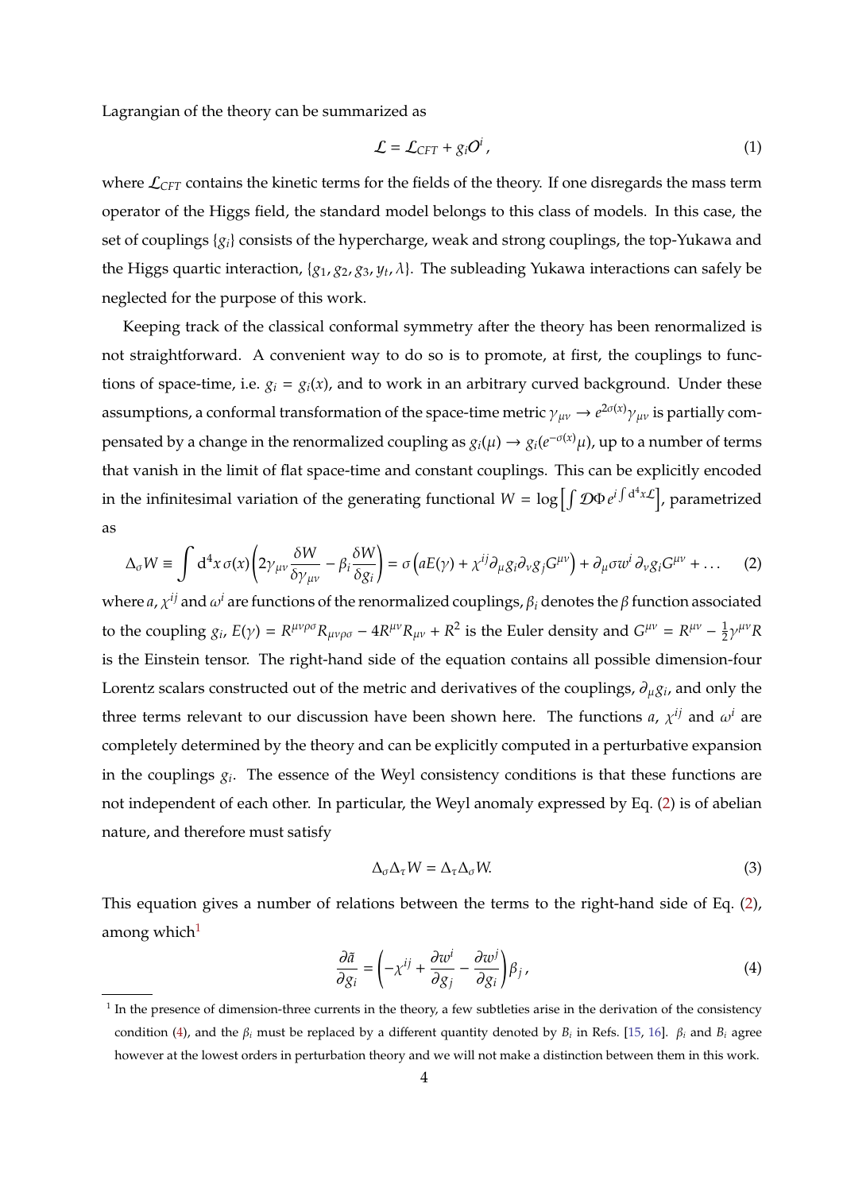Lagrangian of the theory can be summarized as

$$
\mathcal{L} = \mathcal{L}_{CFT} + g_i O^i \,, \tag{1}
$$

where  $\mathcal{L}_{CFT}$  contains the kinetic terms for the fields of the theory. If one disregards the mass term operator of the Higgs field, the standard model belongs to this class of models. In this case, the set of couplings {*gi*} consists of the hypercharge, weak and strong couplings, the top-Yukawa and the Higgs quartic interaction,  $\{g_1, g_2, g_3, y_t, \lambda\}$ . The subleading Yukawa interactions can safely be neglected for the purpose of this work.

Keeping track of the classical conformal symmetry after the theory has been renormalized is not straightforward. A convenient way to do so is to promote, at first, the couplings to functions of space-time, i.e.  $g_i = g_i(x)$ , and to work in an arbitrary curved background. Under these assumptions, a conformal transformation of the space-time metric  $\gamma_{\mu\nu}\to e^{2\sigma(x)}\gamma_{\mu\nu}$  is partially compensated by a change in the renormalized coupling as  $g_i(\mu)\to g_i(e^{-\sigma(x)}\mu)$ , up to a number of terms that vanish in the limit of flat space-time and constant couplings. This can be explicitly encoded in the infinitesimal variation of the generating functional  $W = \log \left[ \int \mathcal{D} \Phi e^{i \int d^4 x \mathcal{L}} \right]$ , parametrized as

<span id="page-4-0"></span>
$$
\Delta_{\sigma} W \equiv \int d^4x \,\sigma(x) \left( 2\gamma_{\mu\nu} \frac{\delta W}{\delta \gamma_{\mu\nu}} - \beta_i \frac{\delta W}{\delta g_i} \right) = \sigma \left( aE(\gamma) + \chi^{ij} \partial_{\mu} g_i \partial_{\nu} g_j G^{\mu\nu} \right) + \partial_{\mu} \sigma w^i \partial_{\nu} g_i G^{\mu\nu} + \dots \tag{2}
$$

where  $a$ ,  $\chi^{ij}$  and  $\omega^i$  are functions of the renormalized couplings,  $\beta_i$  denotes the  $\beta$  function associated to the coupling  $g_i$ ,  $E(\gamma) = R^{\mu\nu\rho\sigma} R_{\mu\nu\rho\sigma} - 4R^{\mu\nu} R_{\mu\nu} + R^2$  is the Euler density and  $G^{\mu\nu} = R^{\mu\nu} - \frac{1}{2}$  $\frac{1}{2}\gamma^{\mu\nu}R$ is the Einstein tensor. The right-hand side of the equation contains all possible dimension-four Lorentz scalars constructed out of the metric and derivatives of the couplings, ∂µ*g<sup>i</sup>* , and only the three terms relevant to our discussion have been shown here. The functions *a*,  $\chi^{ij}$  and  $\omega^i$  are completely determined by the theory and can be explicitly computed in a perturbative expansion in the couplings *g<sup>i</sup>* . The essence of the Weyl consistency conditions is that these functions are not independent of each other. In particular, the Weyl anomaly expressed by Eq. [\(2\)](#page-4-0) is of abelian nature, and therefore must satisfy

$$
\Delta_{\sigma} \Delta_{\tau} W = \Delta_{\tau} \Delta_{\sigma} W. \tag{3}
$$

This equation gives a number of relations between the terms to the right-hand side of Eq. [\(2\)](#page-4-0), among which $1$ 

<span id="page-4-2"></span>
$$
\frac{\partial \tilde{a}}{\partial g_i} = \left( -x^{ij} + \frac{\partial w^i}{\partial g_j} - \frac{\partial w^j}{\partial g_i} \right) \beta_j,
$$
\n(4)

<span id="page-4-1"></span><sup>&</sup>lt;sup>1</sup> In the presence of dimension-three currents in the theory, a few subtleties arise in the derivation of the consistency condition [\(4\)](#page-4-2), and the β*<sup>i</sup>* must be replaced by a different quantity denoted by *B<sup>i</sup>* in Refs. [\[15,](#page-13-11) [16\]](#page-13-12). β*<sup>i</sup>* and *B<sup>i</sup>* agree however at the lowest orders in perturbation theory and we will not make a distinction between them in this work.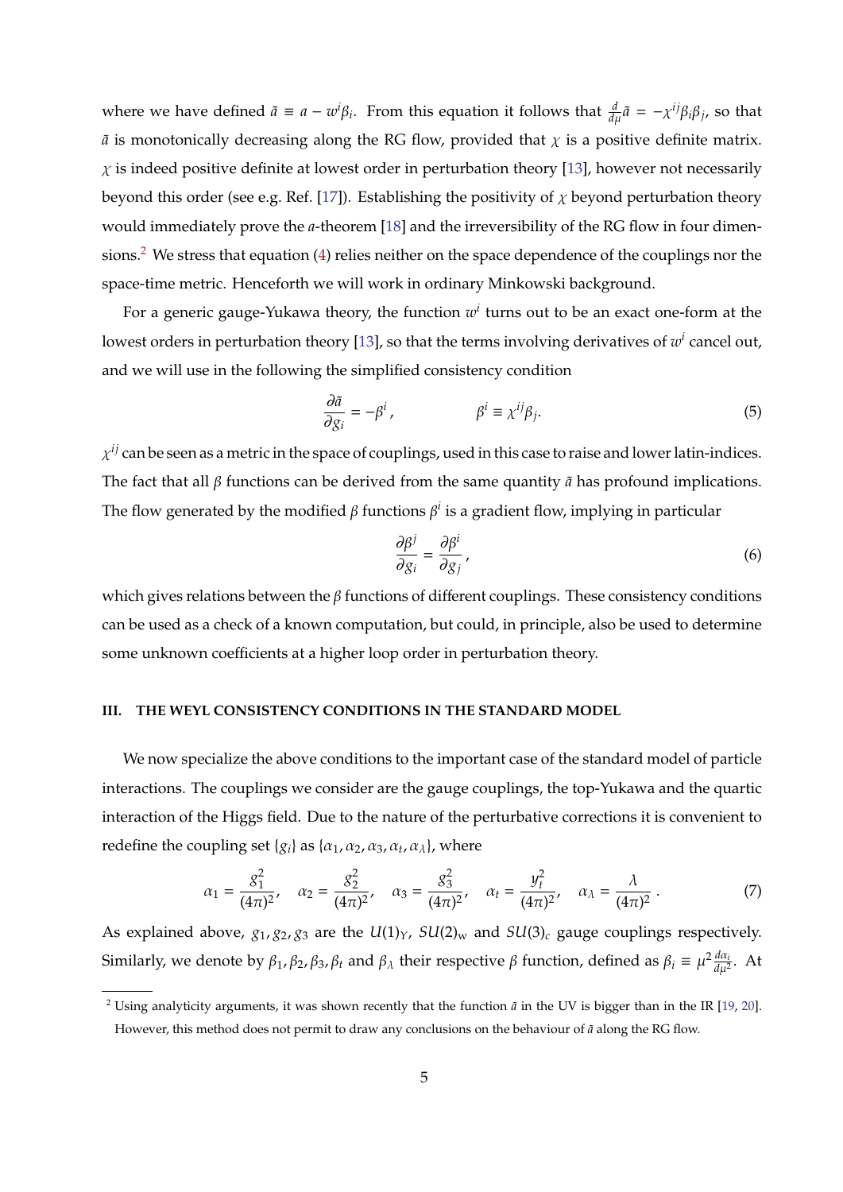where we have defined  $\tilde{a} \equiv a - w^i \beta_i$ . From this equation it follows that  $\frac{d}{d\mu} \tilde{a} = -\chi^{ij} \beta_i \beta_j$ , so that  $\tilde{a}$  is monotonically decreasing along the RG flow, provided that  $\chi$  is a positive definite matrix.  $\chi$  is indeed positive definite at lowest order in perturbation theory [\[13\]](#page-13-13), however not necessarily beyond this order (see e.g. Ref. [\[17\]](#page-13-14)). Establishing the positivity of  $\chi$  beyond perturbation theory would immediately prove the *a*-theorem [\[18\]](#page-13-15) and the irreversibility of the RG flow in four dimensions.[2](#page-5-1) We stress that equation [\(4\)](#page-4-2) relies neither on the space dependence of the couplings nor the space-time metric. Henceforth we will work in ordinary Minkowski background.

For a generic gauge-Yukawa theory, the function *w i* turns out to be an exact one-form at the lowest orders in perturbation theory [\[13\]](#page-13-13), so that the terms involving derivatives of  $w^i$  cancel out, and we will use in the following the simplified consistency condition

$$
\frac{\partial \tilde{a}}{\partial g_i} = -\beta^i, \qquad \beta^i \equiv \chi^{ij} \beta_j.
$$
 (5)

 $\chi^{ij}$  can be seen as a metric in the space of couplings, used in this case to raise and lower latin-indices. The fact that all  $\beta$  functions can be derived from the same quantity  $\tilde{a}$  has profound implications. The flow generated by the modified  $\beta$  functions  $\beta^i$  is a gradient flow, implying in particular

<span id="page-5-2"></span>
$$
\frac{\partial \beta^j}{\partial g_i} = \frac{\partial \beta^i}{\partial g_j},\tag{6}
$$

which gives relations between the  $\beta$  functions of different couplings. These consistency conditions can be used as a check of a known computation, but could, in principle, also be used to determine some unknown coefficients at a higher loop order in perturbation theory.

## <span id="page-5-0"></span>**III. THE WEYL CONSISTENCY CONDITIONS IN THE STANDARD MODEL**

We now specialize the above conditions to the important case of the standard model of particle interactions. The couplings we consider are the gauge couplings, the top-Yukawa and the quartic interaction of the Higgs field. Due to the nature of the perturbative corrections it is convenient to redefine the coupling set  ${g_i}$  as  ${\alpha_1, \alpha_2, \alpha_3, \alpha_t, \alpha_{\lambda}}$ , where

$$
\alpha_1 = \frac{g_1^2}{(4\pi)^2}, \quad \alpha_2 = \frac{g_2^2}{(4\pi)^2}, \quad \alpha_3 = \frac{g_3^2}{(4\pi)^2}, \quad \alpha_t = \frac{y_t^2}{(4\pi)^2}, \quad \alpha_\lambda = \frac{\lambda}{(4\pi)^2} \,. \tag{7}
$$

As explained above,  $g_1$ ,  $g_2$ ,  $g_3$  are the  $U(1)_Y$ ,  $SU(2)_w$  and  $SU(3)_c$  gauge couplings respectively. Similarly, we denote by  $\beta_1$ ,  $\beta_2$ ,  $\beta_3$ ,  $\beta_t$  and  $\beta_\lambda$  their respective  $\beta$  function, defined as  $\beta_i \equiv \mu^2 \frac{d\alpha_i}{d\mu^2}$  $rac{u\alpha_i}{d\mu^2}$ . At

<span id="page-5-1"></span><sup>&</sup>lt;sup>2</sup> Using analyticity arguments, it was shown recently that the function  $\tilde{a}$  in the UV is bigger than in the IR [\[19,](#page-13-16) [20\]](#page-13-17). However, this method does not permit to draw any conclusions on the behaviour of  $\tilde{a}$  along the RG flow.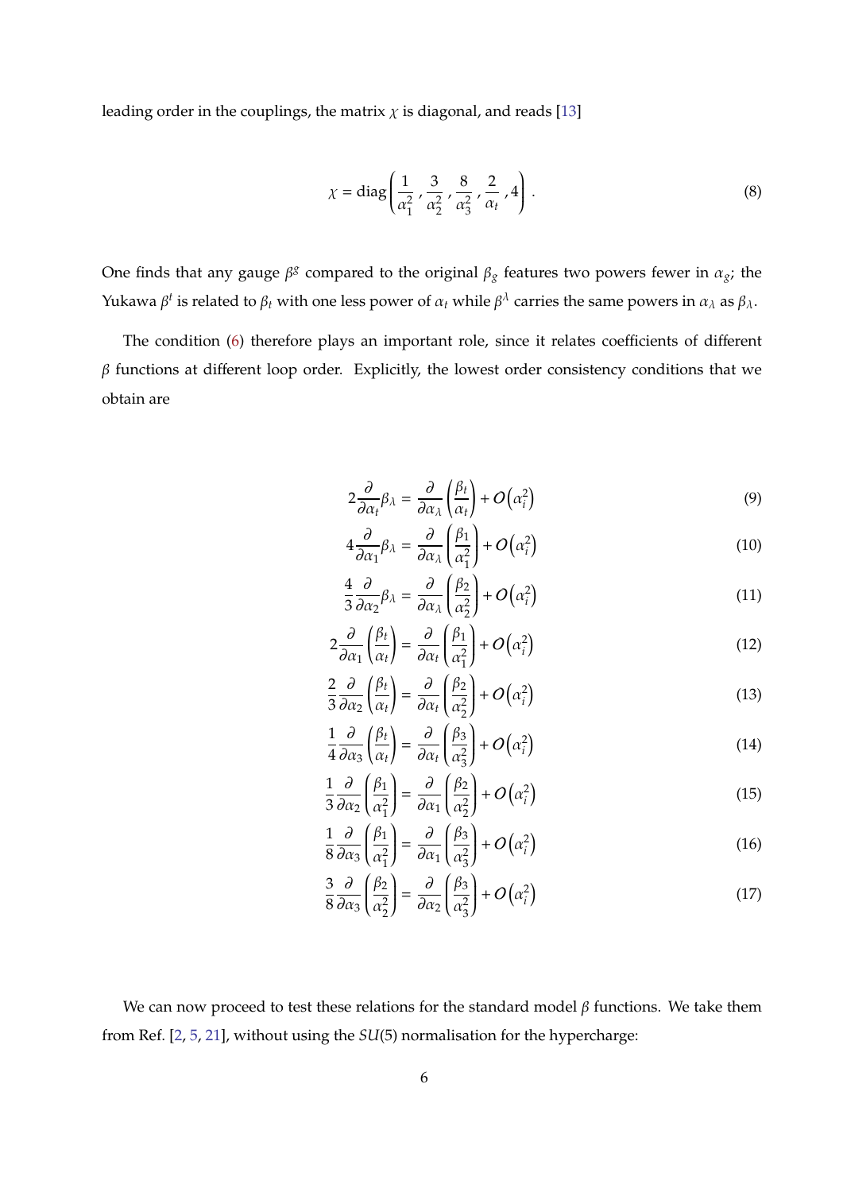leading order in the couplings, the matrix  $\chi$  is diagonal, and reads [\[13\]](#page-13-13)

<span id="page-6-1"></span>
$$
\chi = \text{diag}\left(\frac{1}{\alpha_1^2}, \frac{3}{\alpha_2^2}, \frac{8}{\alpha_3^2}, \frac{2}{\alpha_t}, 4\right).
$$
 (8)

One finds that any gauge  $\beta^g$  compared to the original  $\beta_g$  features two powers fewer in  $\alpha_g$ ; the Yukawa β<sup>t</sup> is related to β<sub>t</sub> with one less power of  $\alpha_t$  while β<sup>λ</sup> carries the same powers in  $\alpha_\lambda$  as β<sub>λ</sub>.

The condition [\(6\)](#page-5-2) therefore plays an important role, since it relates coefficients of different  $β$  functions at different loop order. Explicitly, the lowest order consistency conditions that we obtain are

$$
2\frac{\partial}{\partial \alpha_t} \beta_\lambda = \frac{\partial}{\partial \alpha_\lambda} \left(\frac{\beta_t}{\alpha_t}\right) + O\left(\alpha_i^2\right) \tag{9}
$$

<span id="page-6-0"></span>
$$
4\frac{\partial}{\partial \alpha_1} \beta_\lambda = \frac{\partial}{\partial \alpha_\lambda} \left(\frac{\beta_1}{\alpha_1^2}\right) + O\left(\alpha_i^2\right) \tag{10}
$$

$$
\frac{4}{3}\frac{\partial}{\partial \alpha_2} \beta_\lambda = \frac{\partial}{\partial \alpha_\lambda} \left(\frac{\beta_2}{\alpha_2^2}\right) + O\left(\alpha_i^2\right) \tag{11}
$$

$$
2\frac{\partial}{\partial \alpha_1} \left( \frac{\beta_t}{\alpha_t} \right) = \frac{\partial}{\partial \alpha_t} \left( \frac{\beta_1}{\alpha_1^2} \right) + O\left( \alpha_i^2 \right)
$$
 (12)

$$
\frac{2}{3}\frac{\partial}{\partial \alpha_2} \left(\frac{\beta_t}{\alpha_t}\right) = \frac{\partial}{\partial \alpha_t} \left(\frac{\beta_2}{\alpha_2^2}\right) + O\left(\alpha_i^2\right)
$$
\n(13)

$$
\frac{1}{4}\frac{\partial}{\partial \alpha_3} \left(\frac{\beta_t}{\alpha_t}\right) = \frac{\partial}{\partial \alpha_t} \left(\frac{\beta_3}{\alpha_3^2}\right) + O\left(\alpha_i^2\right)
$$
\n(14)

$$
\frac{1}{3}\frac{\partial}{\partial \alpha_2} \left(\frac{\beta_1}{\alpha_1^2}\right) = \frac{\partial}{\partial \alpha_1} \left(\frac{\beta_2}{\alpha_2^2}\right) + O\left(\alpha_i^2\right)
$$
\n(15)

$$
\frac{1}{8} \frac{\partial}{\partial \alpha_3} \left( \frac{\beta_1}{\alpha_1^2} \right) = \frac{\partial}{\partial \alpha_1} \left( \frac{\beta_3}{\alpha_3^2} \right) + O\left( \alpha_i^2 \right)
$$
(16)

$$
\frac{3}{8} \frac{\partial}{\partial \alpha_3} \left( \frac{\beta_2}{\alpha_2^2} \right) = \frac{\partial}{\partial \alpha_2} \left( \frac{\beta_3}{\alpha_3^2} \right) + O\left( \alpha_i^2 \right)
$$
 (17)

We can now proceed to test these relations for the standard model  $\beta$  functions. We take them from Ref. [\[2,](#page-13-0) [5,](#page-13-3) [21\]](#page-13-18), without using the *SU*(5) normalisation for the hypercharge: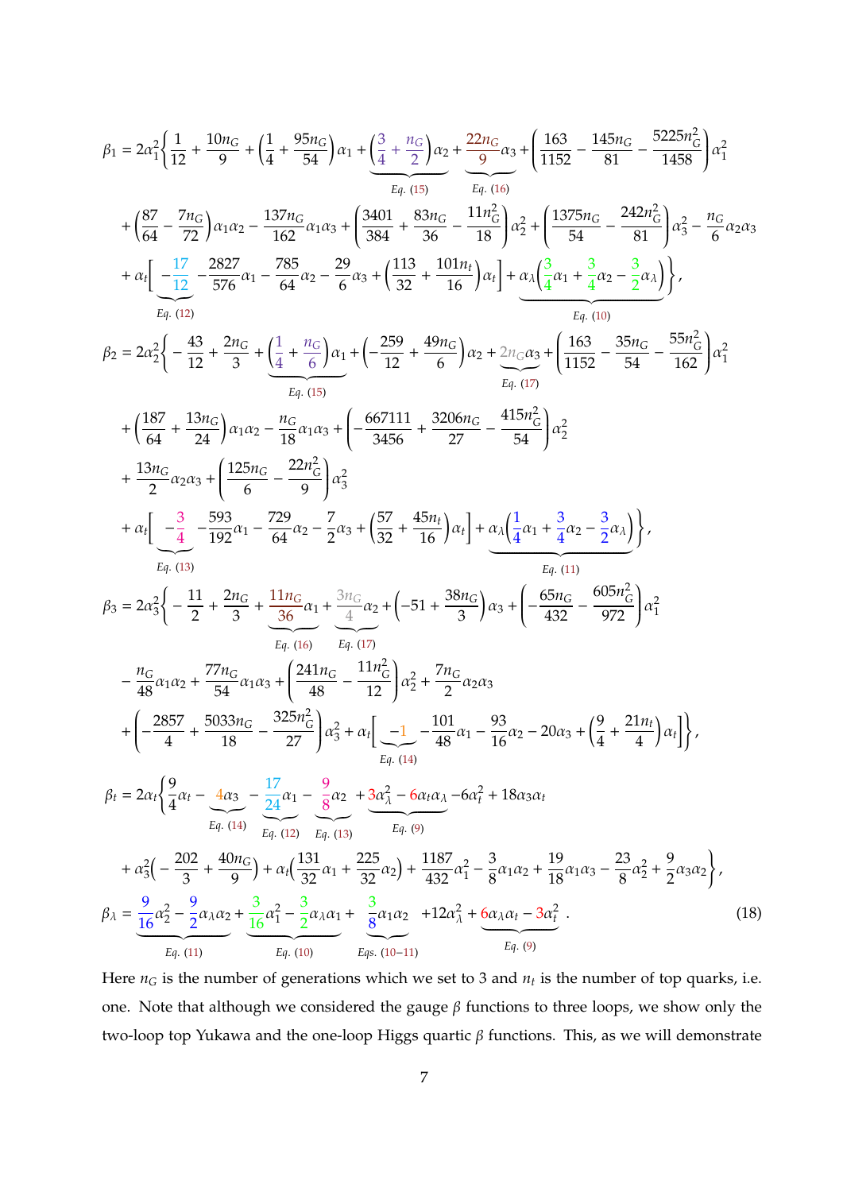$$
\beta_{1} = 2\alpha_{1}^{2}\left\{\frac{1}{12} + \frac{10n_{G}}{9} + \left(\frac{1}{4} + \frac{95n_{G}}{54}\right)\alpha_{1} + \frac{3}{4} + \frac{n_{G}}{2}\right\alpha_{2} + \frac{22n_{G}}{9}\alpha_{3} + \left(\frac{163}{1152} - \frac{145n_{G}}{81} - \frac{5225n_{G}^{2}}{1488}\right)\alpha_{1}^{2}
$$
\n
$$
+ \left(\frac{87}{64} - \frac{7n_{G}}{72}\right)\alpha_{1}\alpha_{2} - \frac{137n_{G}}{162}\alpha_{1}\alpha_{3} + \left(\frac{340}{384} + \frac{83n_{G}}{36} - \frac{11n_{G}^{2}}{18}\right)\alpha_{2}^{2} + \left(\frac{1375n_{G}}{54} - \frac{242n_{G}^{2}}{81}\right)\alpha_{3}^{2} - \frac{n_{G}}{6}\alpha_{2}\alpha_{3}
$$
\n
$$
+ \alpha_{1}\left(-\frac{17}{12} - \frac{2827}{576}\alpha_{1} - \frac{785}{64}\alpha_{2} - \frac{29}{6}\alpha_{3} + \left(\frac{133}{32} + \frac{101n_{G}}{16}\right)\alpha_{1}\right\} + \alpha_{3}\left(\frac{3}{4}\alpha_{1} + \frac{3}{4}\alpha_{2} - \frac{3}{2}\alpha_{3}\right)\right\},\newline F_{4}, (12)
$$
\n
$$
\beta_{2} = 2\alpha_{2}^{2}\left\{-\frac{43}{12} + \frac{2n_{G}}{3} + \left(\frac{1}{4} + \frac{n_{G}}{6}\right)\alpha_{1} + \left(-\frac{259}{12} + \frac{49n_{G}}{6}\right)\alpha_{2} + \frac{2n_{G}\alpha_{3}}{E_{4}, (10)} + \left(\frac{163}{1152} - \frac{35n_{G}}{54} - \frac{55n_{G}^{2}}{162}\right)\alpha_{1}^{2}
$$
\n
$$
+ \left(\frac{187}{64} + \frac{13n_{G}}{24}\right)\alpha_{1}\alpha_{2} - \frac{n_{G}}{1
$$

<span id="page-7-0"></span>Here  $n_G$  is the number of generations which we set to 3 and  $n_t$  is the number of top quarks, i.e. one. Note that although we considered the gauge  $\beta$  functions to three loops, we show only the two-loop top Yukawa and the one-loop Higgs quartic β functions. This, as we will demonstrate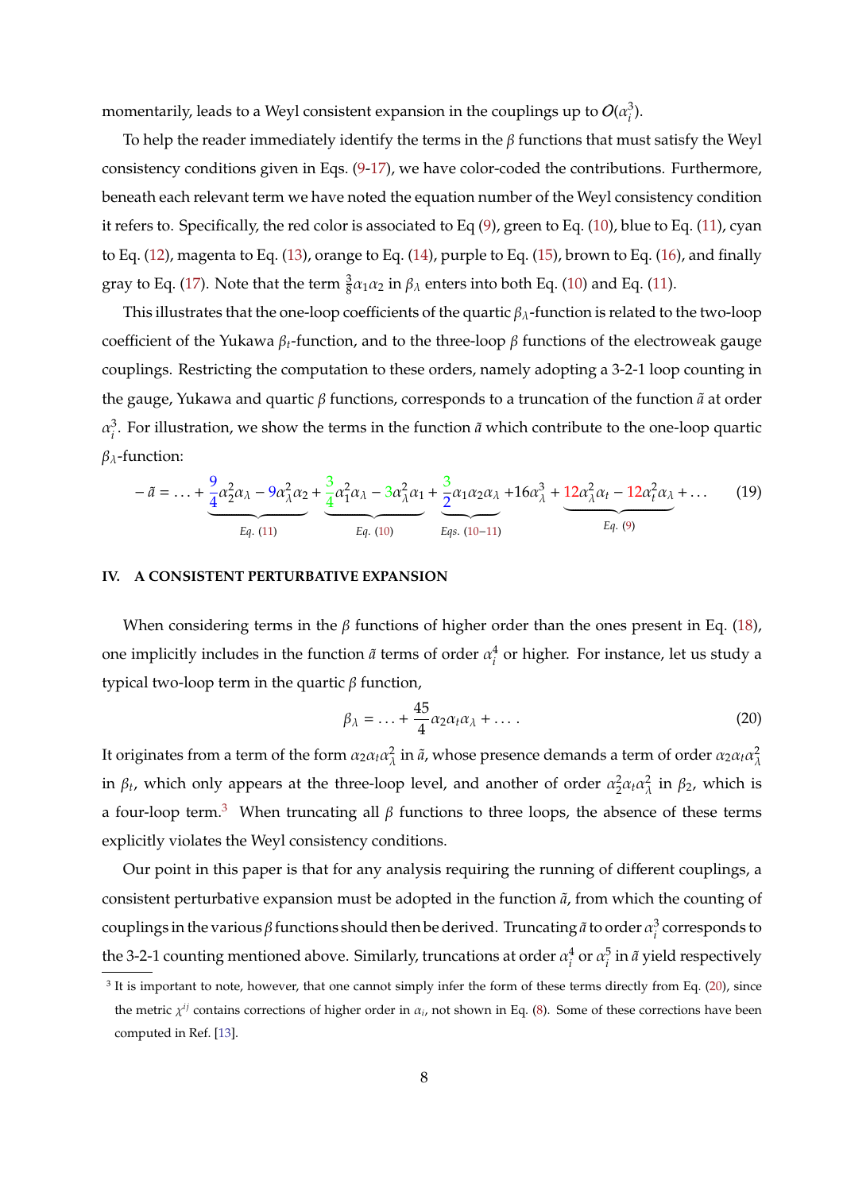momentarily, leads to a Weyl consistent expansion in the couplings up to  $O(\alpha_i^3)$ *i* ).

To help the reader immediately identify the terms in the  $\beta$  functions that must satisfy the Weyl consistency conditions given in Eqs. [\(9-17\)](#page-6-0), we have color-coded the contributions. Furthermore, beneath each relevant term we have noted the equation number of the Weyl consistency condition it refers to. Specifically, the red color is associated to Eq [\(9\)](#page-6-0), green to Eq. [\(10\)](#page-6-0), blue to Eq. [\(11\)](#page-6-0), cyan to Eq. [\(12\)](#page-6-0), magenta to Eq. [\(13\)](#page-6-0), orange to Eq. [\(14\)](#page-6-0), purple to Eq. [\(15\)](#page-6-0), brown to Eq. [\(16\)](#page-6-0), and finally gray to Eq. [\(17\)](#page-6-0). Note that the term  $\frac{3}{8}a_1a_2$  in  $\beta_\lambda$  enters into both Eq. [\(10\)](#page-6-0) and Eq. [\(11\)](#page-6-0).

This illustrates that the one-loop coefficients of the quartic  $\beta_{\lambda}$ -function is related to the two-loop coefficient of the Yukawa  $\beta_t$ -function, and to the three-loop  $\beta$  functions of the electroweak gauge couplings. Restricting the computation to these orders, namely adopting a 3-2-1 loop counting in the gauge, Yukawa and quartic β functions, corresponds to a truncation of the function  $\tilde{a}$  at order  $\alpha_i^3$  $\frac{3}{i}$ . For illustration, we show the terms in the function  $\tilde{a}$  which contribute to the one-loop quartic  $β<sub>λ</sub>$ -function:

$$
-\tilde{a} = \dots + \underbrace{\frac{9}{4} \alpha_2^2 \alpha_\lambda - 9 \alpha_\lambda^2 \alpha_2}_{Eq. (11)} + \underbrace{\frac{3}{4} \alpha_1^2 \alpha_\lambda - 3 \alpha_\lambda^2 \alpha_1}_{Eq. (10)} + \underbrace{\frac{3}{2} \alpha_1 \alpha_2 \alpha_\lambda}_{Eqs. (10-11)} + 16 \alpha_\lambda^3 + \underbrace{12 \alpha_\lambda^2 \alpha_t - 12 \alpha_t^2 \alpha_\lambda}_{Eq. (9)} + \dots \qquad (19)
$$

#### <span id="page-8-0"></span>**IV. A CONSISTENT PERTURBATIVE EXPANSION**

When considering terms in the  $\beta$  functions of higher order than the ones present in Eq. [\(18\)](#page-7-0), one implicitly includes in the function  $\tilde{a}$  terms of order  $\alpha_i^4$  $\frac{4}{i}$  or higher. For instance, let us study a typical two-loop term in the quartic β function,

<span id="page-8-2"></span>
$$
\beta_{\lambda} = \ldots + \frac{45}{4} \alpha_2 \alpha_t \alpha_{\lambda} + \ldots \,. \tag{20}
$$

It originates from a term of the form  $\alpha_2 \alpha_t \alpha_\lambda^2$  $\frac{2}{\lambda}$  in  $\tilde{a}$ , whose presence demands a term of order  $\alpha_2\alpha_t\alpha_\lambda^2$ λ in  $\beta_t$ , which only appears at the three-loop level, and another of order  $\alpha_2^2$  $rac{2}{2}α_t α_\lambda^2$  $\frac{2}{\lambda}$  in  $\beta_2$ , which is a four-loop term.<sup>[3](#page-8-1)</sup> When truncating all  $β$  functions to three loops, the absence of these terms explicitly violates the Weyl consistency conditions.

Our point in this paper is that for any analysis requiring the running of different couplings, a consistent perturbative expansion must be adopted in the function  $\tilde{a}$ , from which the counting of couplings in the various  $\beta$  functions should then be derived. Truncating  $\tilde{a}$  to order  $\alpha_i^3$  $\frac{3}{i}$  corresponds to the 3-2-1 counting mentioned above. Similarly, truncations at order  $\alpha_i^4$  $\frac{4}{i}$  or  $\alpha_i^5$  $\frac{5}{i}$  in  $\tilde{a}$  yield respectively

<span id="page-8-1"></span> $3$  It is important to note, however, that one cannot simply infer the form of these terms directly from Eq. [\(20\)](#page-8-2), since the metric  $\chi^{ij}$  contains corrections of higher order in  $\alpha_i$ , not shown in Eq. [\(8\)](#page-6-1). Some of these corrections have been computed in Ref. [\[13\]](#page-13-13).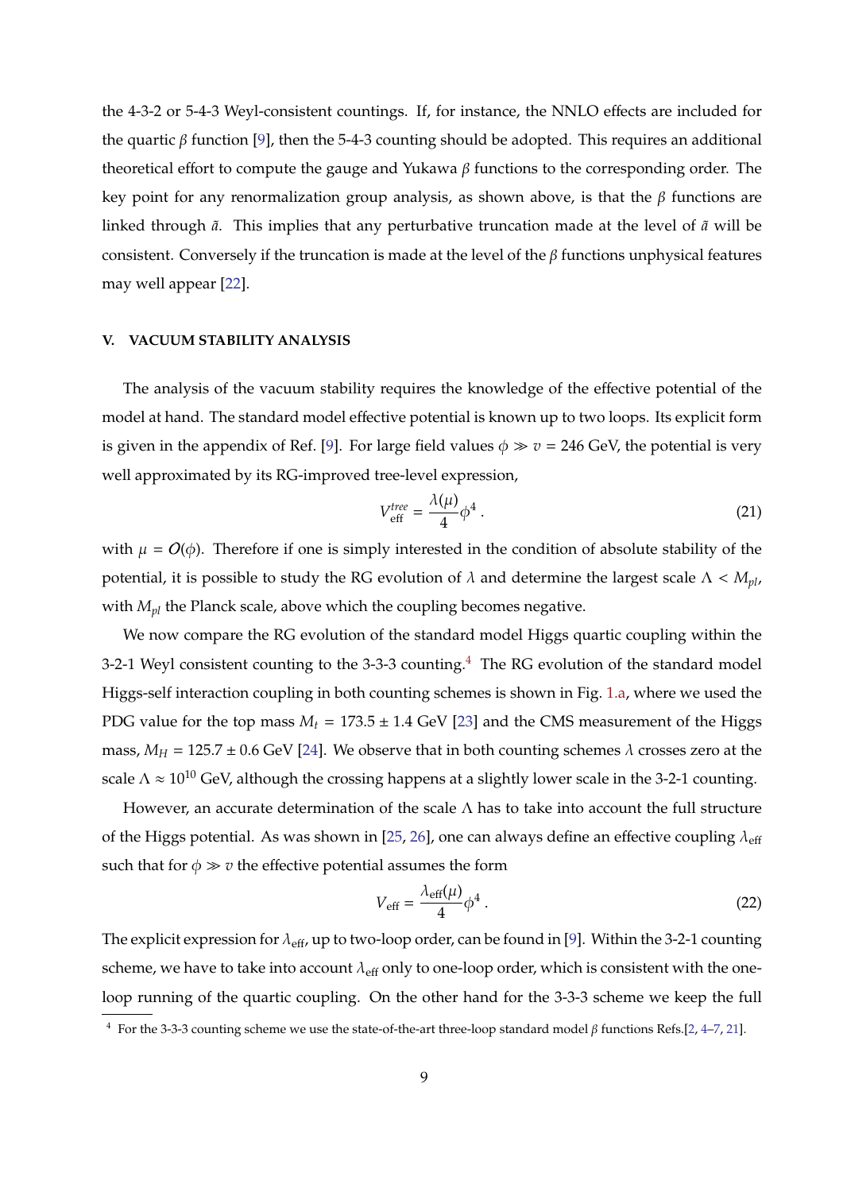the 4-3-2 or 5-4-3 Weyl-consistent countings. If, for instance, the NNLO effects are included for the quartic β function [\[9\]](#page-13-7), then the 5-4-3 counting should be adopted. This requires an additional theoretical effort to compute the gauge and Yukawa β functions to the corresponding order. The key point for any renormalization group analysis, as shown above, is that the  $β$  functions are linked through  $\tilde{a}$ . This implies that any perturbative truncation made at the level of  $\tilde{a}$  will be consistent. Conversely if the truncation is made at the level of the  $\beta$  functions unphysical features may well appear [\[22\]](#page-13-19).

## <span id="page-9-0"></span>**V. VACUUM STABILITY ANALYSIS**

The analysis of the vacuum stability requires the knowledge of the effective potential of the model at hand. The standard model effective potential is known up to two loops. Its explicit form is given in the appendix of Ref. [\[9\]](#page-13-7). For large field values  $\phi \gg v = 246$  GeV, the potential is very well approximated by its RG-improved tree-level expression,

$$
V_{\text{eff}}^{\text{tree}} = \frac{\lambda(\mu)}{4} \phi^4 \ . \tag{21}
$$

with  $\mu = O(\phi)$ . Therefore if one is simply interested in the condition of absolute stability of the potential, it is possible to study the RG evolution of  $\lambda$  and determine the largest scale  $\Lambda < M_{pl}$ , with *Mpl* the Planck scale, above which the coupling becomes negative.

We now compare the RG evolution of the standard model Higgs quartic coupling within the 3-2-1 Weyl consistent counting to the 3-3-3 counting.<sup>[4](#page-9-1)</sup> The RG evolution of the standard model Higgs-self interaction coupling in both counting schemes is shown in Fig. [1.a,](#page-10-0) where we used the PDG value for the top mass  $M_t = 173.5 \pm 1.4$  GeV [\[23\]](#page-13-20) and the CMS measurement of the Higgs mass,  $M_H = 125.7 \pm 0.6$  GeV [\[24\]](#page-13-21). We observe that in both counting schemes  $\lambda$  crosses zero at the scale  $\Lambda \approx 10^{10}$  GeV, although the crossing happens at a slightly lower scale in the 3-2-1 counting.

However, an accurate determination of the scale  $\Lambda$  has to take into account the full structure of the Higgs potential. As was shown in [\[25,](#page-13-22) [26\]](#page-13-23), one can always define an effective coupling  $\lambda_{\text{eff}}$ such that for  $\phi \gg v$  the effective potential assumes the form

$$
V_{\rm eff} = \frac{\lambda_{\rm eff}(\mu)}{4} \phi^4 \,. \tag{22}
$$

The explicit expression for  $\lambda_{\text{eff}}$ , up to two-loop order, can be found in [\[9\]](#page-13-7). Within the 3-2-1 counting scheme, we have to take into account  $\lambda_{\text{eff}}$  only to one-loop order, which is consistent with the oneloop running of the quartic coupling. On the other hand for the 3-3-3 scheme we keep the full

<span id="page-9-1"></span><sup>&</sup>lt;sup>4</sup> For the 3-3-3 counting scheme we use the state-of-the-art three-loop standard model  $\beta$  functions Refs.[\[2,](#page-13-0) [4–](#page-13-2)[7,](#page-13-4) [21\]](#page-13-18).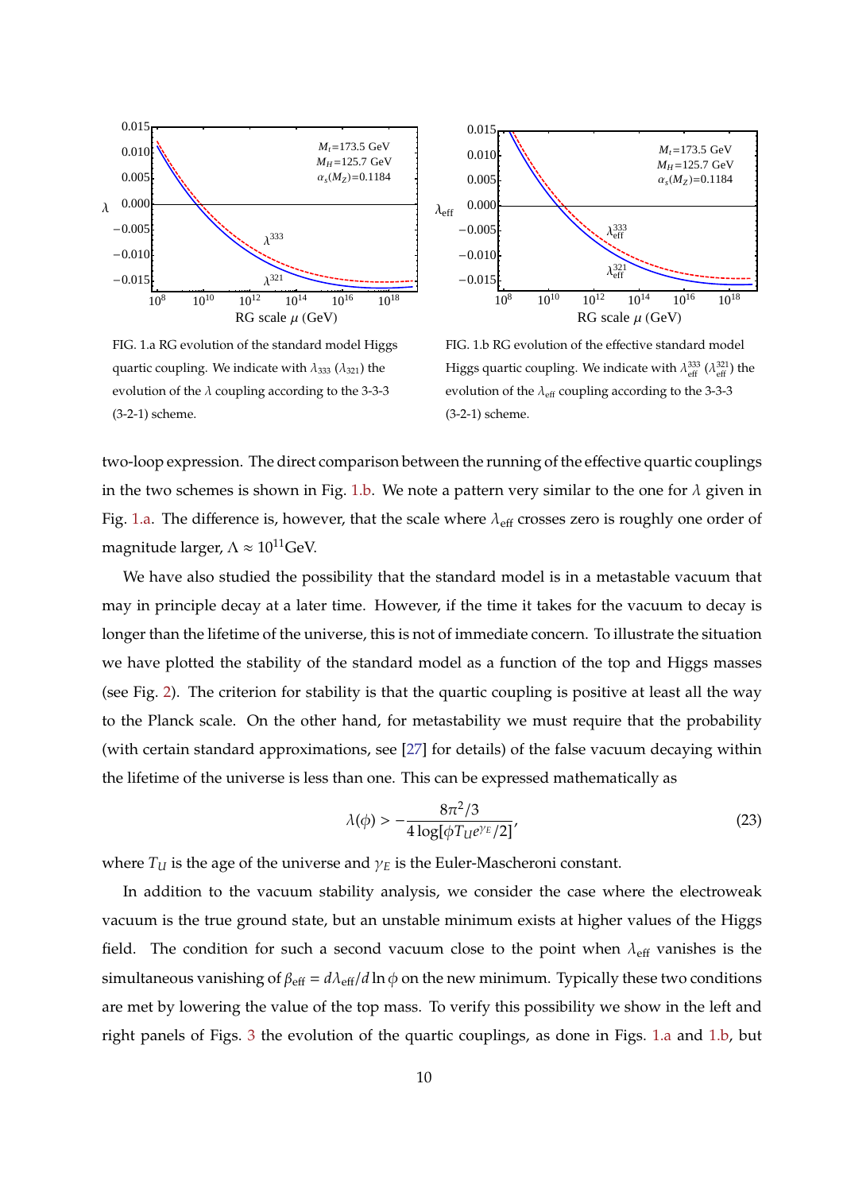<span id="page-10-0"></span>

FIG. 1.a RG evolution of the standard model Higgs quartic coupling. We indicate with  $\lambda_{333}$  ( $\lambda_{321}$ ) the evolution of the  $\lambda$  coupling according to the 3-3-3 (3-2-1) scheme.



<span id="page-10-1"></span>FIG. 1.b RG evolution of the effective standard model Higgs quartic coupling. We indicate with  $\lambda_{\text{eff}}^{333}$  ( $\lambda_{\text{eff}}^{321}$ ) the evolution of the  $\lambda_{\text{eff}}$  coupling according to the 3-3-3 (3-2-1) scheme.

two-loop expression. The direct comparison between the running of the effective quartic couplings in the two schemes is shown in Fig. [1.b.](#page-10-1) We note a pattern very similar to the one for  $\lambda$  given in Fig. [1.a.](#page-10-0) The difference is, however, that the scale where  $\lambda_{\text{eff}}$  crosses zero is roughly one order of magnitude larger,  $\Lambda \approx 10^{11}$ GeV.

We have also studied the possibility that the standard model is in a metastable vacuum that may in principle decay at a later time. However, if the time it takes for the vacuum to decay is longer than the lifetime of the universe, this is not of immediate concern. To illustrate the situation we have plotted the stability of the standard model as a function of the top and Higgs masses (see Fig. [2\)](#page-11-1). The criterion for stability is that the quartic coupling is positive at least all the way to the Planck scale. On the other hand, for metastability we must require that the probability (with certain standard approximations, see [\[27\]](#page-13-24) for details) of the false vacuum decaying within the lifetime of the universe is less than one. This can be expressed mathematically as

$$
\lambda(\phi) > -\frac{8\pi^2/3}{4\log[\phi T_{\mathcal{U}}e^{\gamma_E}/2]}'
$$
\n(23)

where  $T_U$  is the age of the universe and  $\gamma_E$  is the Euler-Mascheroni constant.

In addition to the vacuum stability analysis, we consider the case where the electroweak vacuum is the true ground state, but an unstable minimum exists at higher values of the Higgs field. The condition for such a second vacuum close to the point when  $\lambda_{\text{eff}}$  vanishes is the simultaneous vanishing of  $\beta_{\text{eff}} = d\lambda_{\text{eff}}/d \ln \phi$  on the new minimum. Typically these two conditions are met by lowering the value of the top mass. To verify this possibility we show in the left and right panels of Figs. [3](#page-12-1) the evolution of the quartic couplings, as done in Figs. [1.a](#page-10-0) and [1.b,](#page-10-1) but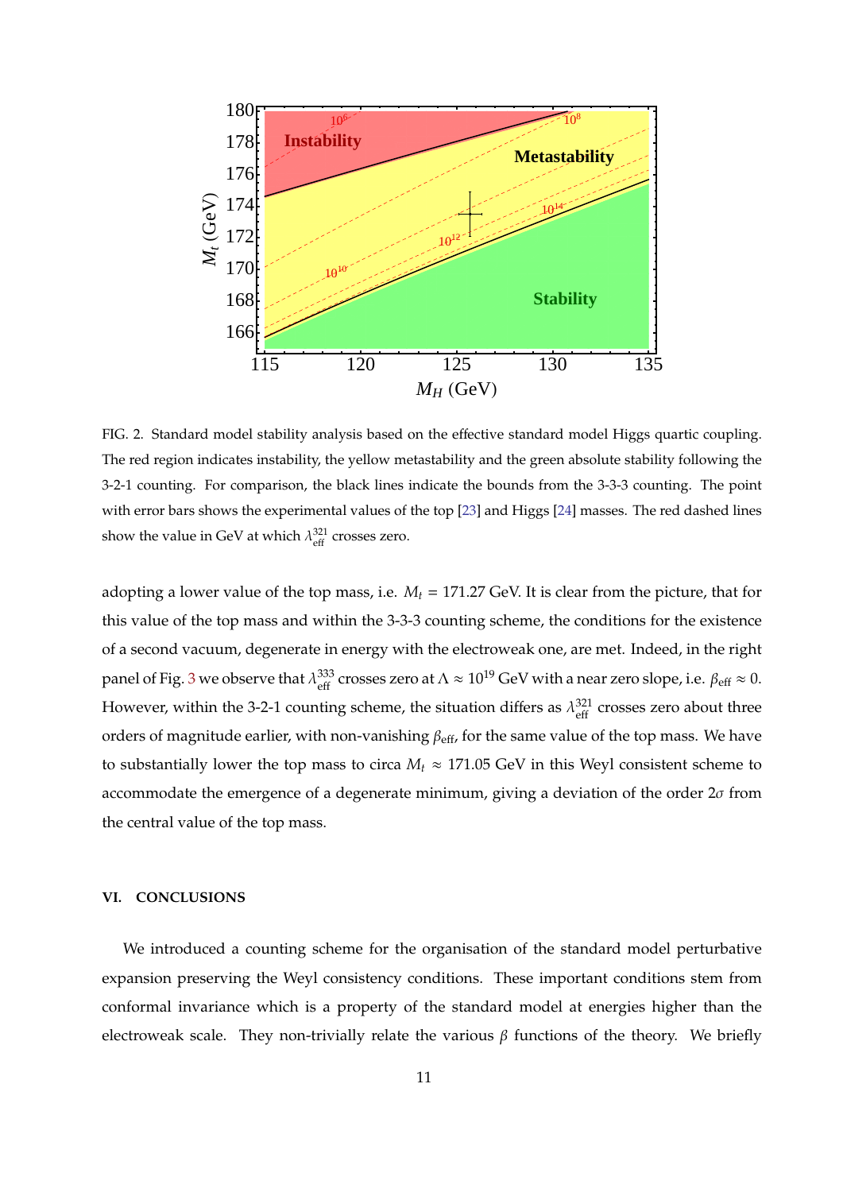

<span id="page-11-1"></span>FIG. 2. Standard model stability analysis based on the effective standard model Higgs quartic coupling. The red region indicates instability, the yellow metastability and the green absolute stability following the 3-2-1 counting. For comparison, the black lines indicate the bounds from the 3-3-3 counting. The point with error bars shows the experimental values of the top [\[23\]](#page-13-20) and Higgs [\[24\]](#page-13-21) masses. The red dashed lines show the value in GeV at which  $\lambda_{\text{eff}}^{321}$  crosses zero.

adopting a lower value of the top mass, i.e. *M<sup>t</sup>* = 171.27 GeV. It is clear from the picture, that for this value of the top mass and within the 3-3-3 counting scheme, the conditions for the existence of a second vacuum, degenerate in energy with the electroweak one, are met. Indeed, in the right panel of Fig. [3](#page-12-1) we observe that  $\lambda_{\tt eff}^{333}$ <sup>333</sup> crosses zero at  $\Lambda \approx 10^{19}$  GeV with a near zero slope, i.e.  $\beta_{\text{eff}} \approx 0$ . However, within the 3-2-1 counting scheme, the situation differs as  $\lambda_{\text{eff}}^{321}$  $\frac{321}{\text{eff}}$  crosses zero about three orders of magnitude earlier, with non-vanishing  $\beta_{\text{eff}}$ , for the same value of the top mass. We have to substantially lower the top mass to circa  $M_t \approx 171.05$  GeV in this Weyl consistent scheme to accommodate the emergence of a degenerate minimum, giving a deviation of the order  $2\sigma$  from the central value of the top mass.

### <span id="page-11-0"></span>**VI. CONCLUSIONS**

We introduced a counting scheme for the organisation of the standard model perturbative expansion preserving the Weyl consistency conditions. These important conditions stem from conformal invariance which is a property of the standard model at energies higher than the electroweak scale. They non-trivially relate the various  $\beta$  functions of the theory. We briefly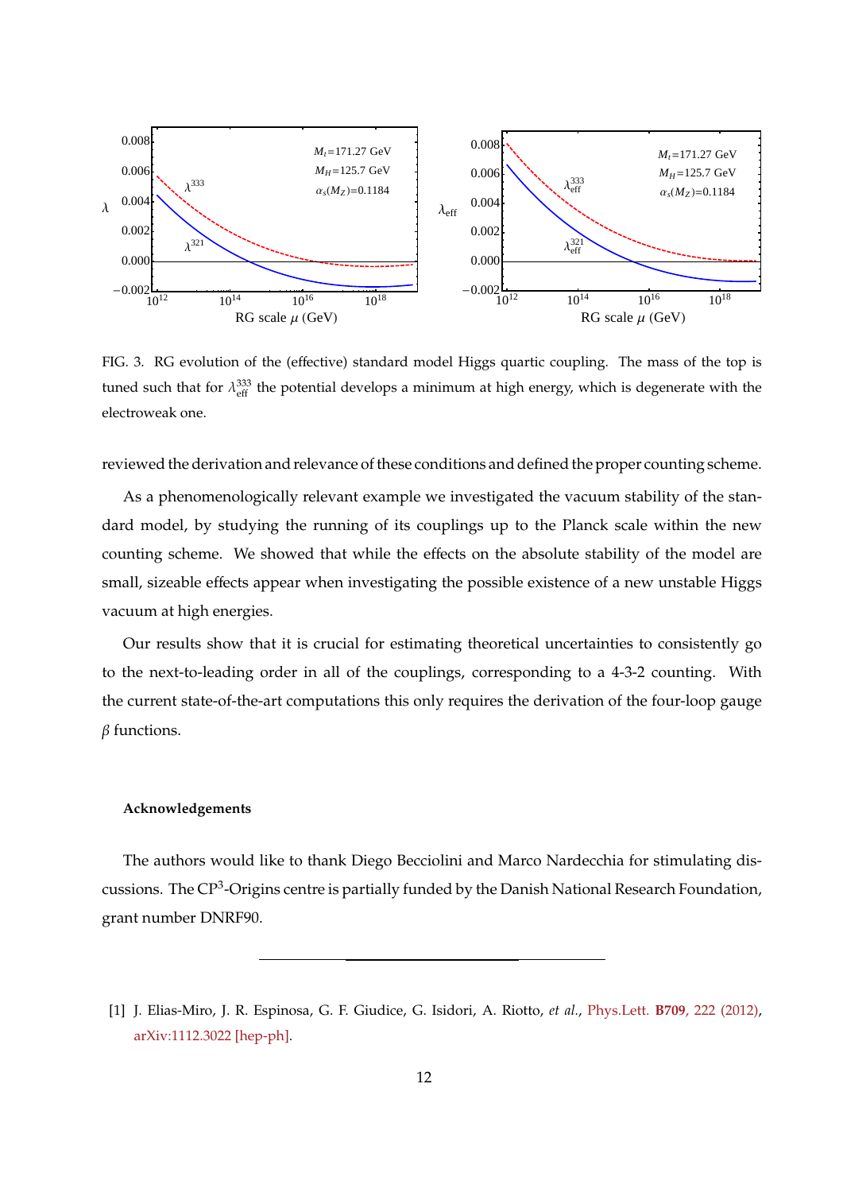

<span id="page-12-1"></span>FIG. 3. RG evolution of the (effective) standard model Higgs quartic coupling. The mass of the top is tuned such that for  $\lambda_{\text{eff}}^{333}$  the potential develops a minimum at high energy, which is degenerate with the electroweak one.

reviewed the derivation and relevance of these conditions and defined the proper counting scheme.

As a phenomenologically relevant example we investigated the vacuum stability of the standard model, by studying the running of its couplings up to the Planck scale within the new counting scheme. We showed that while the effects on the absolute stability of the model are small, sizeable effects appear when investigating the possible existence of a new unstable Higgs vacuum at high energies.

Our results show that it is crucial for estimating theoretical uncertainties to consistently go to the next-to-leading order in all of the couplings, corresponding to a 4-3-2 counting. With the current state-of-the-art computations this only requires the derivation of the four-loop gauge  $\beta$  functions.

### **Acknowledgements**

The authors would like to thank Diego Becciolini and Marco Nardecchia for stimulating discussions. The CP<sup>3</sup>-Origins centre is partially funded by the Danish National Research Foundation, grant number DNRF90.

<span id="page-12-0"></span><sup>[1]</sup> J. Elias-Miro, J. R. Espinosa, G. F. Giudice, G. Isidori, A. Riotto, *et al.*, Phys.Lett. **B709**[, 222 \(2012\),](http://dx.doi.org/10.1016/j.physletb.2012.02.013) [arXiv:1112.3022 \[hep-ph\].](http://arxiv.org/abs/1112.3022)